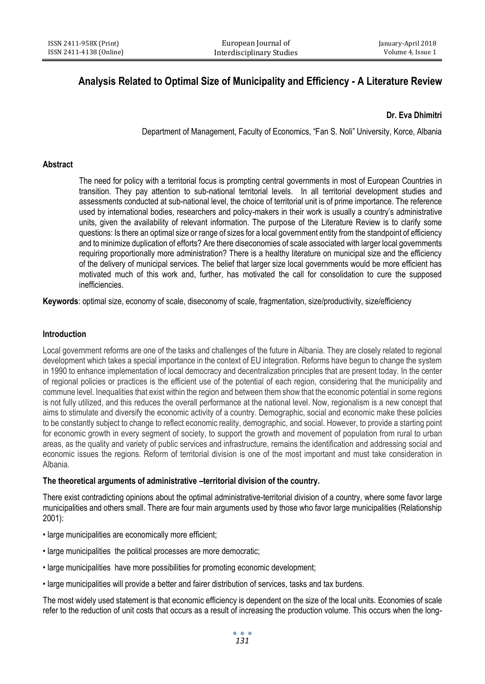# **Analysis Related to Optimal Size of Municipality and Efficiency - A Literature Review**

#### **Dr. Eva Dhimitri**

Department of Management, Faculty of Economics, "Fan S. Noli" University, Korce, Albania

#### **Abstract**

The need for policy with a territorial focus is prompting central governments in most of European Countries in transition. They pay attention to sub-national territorial levels. In all territorial development studies and assessments conducted at sub-national level, the choice of territorial unit is of prime importance. The reference used by international bodies, researchers and policy-makers in their work is usually a country's administrative units, given the availability of relevant information. The purpose of the Literature Review is to clarify some questions: Is there an optimal size or range of sizes for a local government entity from the standpoint of efficiency and to minimize duplication of efforts? Are there diseconomies of scale associated with larger local governments requiring proportionally more administration? There is a healthy literature on municipal size and the efficiency of the delivery of municipal services. The belief that larger size local governments would be more efficient has motivated much of this work and, further, has motivated the call for consolidation to cure the supposed inefficiencies.

**Keywords**: optimal size, economy of scale, diseconomy of scale, fragmentation, size/productivity, size/efficiency

#### **Introduction**

Local government reforms are one of the tasks and challenges of the future in Albania. They are closely related to regional development which takes a special importance in the context of EU integration. Reforms have begun to change the system in 1990 to enhance implementation of local democracy and decentralization principles that are present today. In the center of regional policies or practices is the efficient use of the potential of each region, considering that the municipality and commune level. Inequalities that exist within the region and between them show that the economic potential in some regions is not fully utilized, and this reduces the overall performance at the national level. Now, regionalism is a new concept that aims to stimulate and diversify the economic activity of a country. Demographic, social and economic make these policies to be constantly subject to change to reflect economic reality, demographic, and social. However, to provide a starting point for economic growth in every segment of society, to support the growth and movement of population from rural to urban areas, as the quality and variety of public services and infrastructure, remains the identification and addressing social and economic issues the regions. Reform of territorial division is one of the most important and must take consideration in Albania.

#### **The theoretical arguments of administrative –territorial division of the country.**

There exist contradicting opinions about the optimal administrative-territorial division of a country, where some favor large municipalities and others small. There are four main arguments used by those who favor large municipalities (Relationship 2001):

- large municipalities are economically more efficient;
- large municipalities the political processes are more democratic;
- large municipalities have more possibilities for promoting economic development;
- large municipalities will provide a better and fairer distribution of services, tasks and tax burdens.

The most widely used statement is that economic efficiency is dependent on the size of the local units. Economies of scale refer to the reduction of unit costs that occurs as a result of increasing the production volume. This occurs when the long-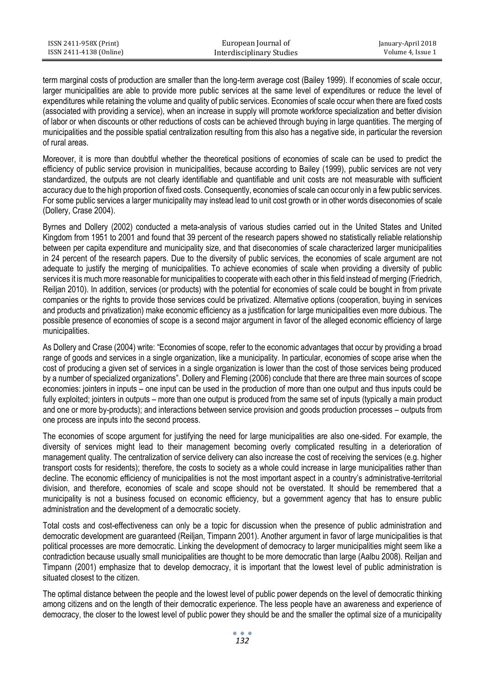| ISSN 2411-958X (Print)  | European Journal of       | January-April 2018 |
|-------------------------|---------------------------|--------------------|
| ISSN 2411-4138 (Online) | Interdisciplinary Studies | Volume 4. Issue 1  |

term marginal costs of production are smaller than the long-term average cost (Bailey 1999). If economies of scale occur, larger municipalities are able to provide more public services at the same level of expenditures or reduce the level of expenditures while retaining the volume and quality of public services. Economies of scale occur when there are fixed costs (associated with providing a service), when an increase in supply will promote workforce specialization and better division of labor or when discounts or other reductions of costs can be achieved through buying in large quantities. The merging of municipalities and the possible spatial centralization resulting from this also has a negative side, in particular the reversion of rural areas.

Moreover, it is more than doubtful whether the theoretical positions of economies of scale can be used to predict the efficiency of public service provision in municipalities, because according to Bailey (1999), public services are not very standardized, the outputs are not clearly identifiable and quantifiable and unit costs are not measurable with sufficient accuracy due to the high proportion of fixed costs. Consequently, economies of scale can occur only in a few public services. For some public services a larger municipality may instead lead to unit cost growth or in other words diseconomies of scale (Dollery, Crase 2004).

Byrnes and Dollery (2002) conducted a meta-analysis of various studies carried out in the United States and United Kingdom from 1951 to 2001 and found that 39 percent of the research papers showed no statistically reliable relationship between per capita expenditure and municipality size, and that diseconomies of scale characterized larger municipalities in 24 percent of the research papers. Due to the diversity of public services, the economies of scale argument are not adequate to justify the merging of municipalities. To achieve economies of scale when providing a diversity of public services it is much more reasonable for municipalities to cooperate with each other in this field instead of merging (Friedrich, Reiljan 2010). In addition, services (or products) with the potential for economies of scale could be bought in from private companies or the rights to provide those services could be privatized. Alternative options (cooperation, buying in services and products and privatization) make economic efficiency as a justification for large municipalities even more dubious. The possible presence of economies of scope is a second major argument in favor of the alleged economic efficiency of large municipalities.

As Dollery and Crase (2004) write: "Economies of scope, refer to the economic advantages that occur by providing a broad range of goods and services in a single organization, like a municipality. In particular, economies of scope arise when the cost of producing a given set of services in a single organization is lower than the cost of those services being produced by a number of specialized organizations". Dollery and Fleming (2006) conclude that there are three main sources of scope economies: jointers in inputs – one input can be used in the production of more than one output and thus inputs could be fully exploited; jointers in outputs – more than one output is produced from the same set of inputs (typically a main product and one or more by-products); and interactions between service provision and goods production processes – outputs from one process are inputs into the second process.

The economies of scope argument for justifying the need for large municipalities are also one-sided. For example, the diversity of services might lead to their management becoming overly complicated resulting in a deterioration of management quality. The centralization of service delivery can also increase the cost of receiving the services (e.g. higher transport costs for residents); therefore, the costs to society as a whole could increase in large municipalities rather than decline. The economic efficiency of municipalities is not the most important aspect in a country's administrative-territorial division, and therefore, economies of scale and scope should not be overstated. It should be remembered that a municipality is not a business focused on economic efficiency, but a government agency that has to ensure public administration and the development of a democratic society.

Total costs and cost-effectiveness can only be a topic for discussion when the presence of public administration and democratic development are guaranteed (Reiljan, Timpann 2001). Another argument in favor of large municipalities is that political processes are more democratic. Linking the development of democracy to larger municipalities might seem like a contradiction because usually small municipalities are thought to be more democratic than large (Aalbu 2008). Reiljan and Timpann (2001) emphasize that to develop democracy, it is important that the lowest level of public administration is situated closest to the citizen.

The optimal distance between the people and the lowest level of public power depends on the level of democratic thinking among citizens and on the length of their democratic experience. The less people have an awareness and experience of democracy, the closer to the lowest level of public power they should be and the smaller the optimal size of a municipality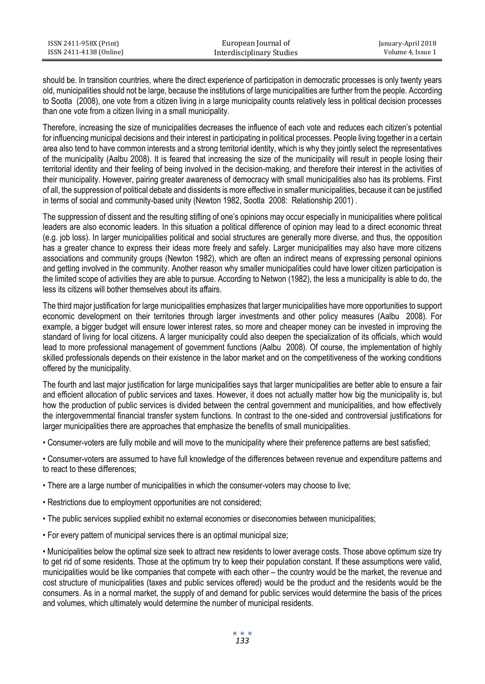| ISSN 2411-958X (Print)  | European Journal of       | January-April 2018 |
|-------------------------|---------------------------|--------------------|
| ISSN 2411-4138 (Online) | Interdisciplinary Studies | Volume 4. Issue 1  |

should be. In transition countries, where the direct experience of participation in democratic processes is only twenty years old, municipalities should not be large, because the institutions of large municipalities are further from the people. According to Sootla (2008), one vote from a citizen living in a large municipality counts relatively less in political decision processes than one vote from a citizen living in a small municipality.

Therefore, increasing the size of municipalities decreases the influence of each vote and reduces each citizen's potential for influencing municipal decisions and their interest in participating in political processes. People living together in a certain area also tend to have common interests and a strong territorial identity, which is why they jointly select the representatives of the municipality (Aalbu 2008). It is feared that increasing the size of the municipality will result in people losing their territorial identity and their feeling of being involved in the decision-making, and therefore their interest in the activities of their municipality. However, pairing greater awareness of democracy with small municipalities also has its problems. First of all, the suppression of political debate and dissidents is more effective in smaller municipalities, because it can be justified in terms of social and community-based unity (Newton 1982, Sootla 2008: Relationship 2001) .

The suppression of dissent and the resulting stifling of one's opinions may occur especially in municipalities where political leaders are also economic leaders. In this situation a political difference of opinion may lead to a direct economic threat (e.g. job loss). In larger municipalities political and social structures are generally more diverse, and thus, the opposition has a greater chance to express their ideas more freely and safely. Larger municipalities may also have more citizens associations and community groups (Newton 1982), which are often an indirect means of expressing personal opinions and getting involved in the community. Another reason why smaller municipalities could have lower citizen participation is the limited scope of activities they are able to pursue. According to Netwon (1982), the less a municipality is able to do, the less its citizens will bother themselves about its affairs.

The third major justification for large municipalities emphasizes that larger municipalities have more opportunities to support economic development on their territories through larger investments and other policy measures (Aalbu 2008). For example, a bigger budget will ensure lower interest rates, so more and cheaper money can be invested in improving the standard of living for local citizens. A larger municipality could also deepen the specialization of its officials, which would lead to more professional management of government functions (Aalbu 2008). Of course, the implementation of highly skilled professionals depends on their existence in the labor market and on the competitiveness of the working conditions offered by the municipality.

The fourth and last major justification for large municipalities says that larger municipalities are better able to ensure a fair and efficient allocation of public services and taxes. However, it does not actually matter how big the municipality is, but how the production of public services is divided between the central government and municipalities, and how effectively the intergovernmental financial transfer system functions. In contrast to the one-sided and controversial justifications for larger municipalities there are approaches that emphasize the benefits of small municipalities.

• Consumer-voters are fully mobile and will move to the municipality where their preference patterns are best satisfied;

• Consumer-voters are assumed to have full knowledge of the differences between revenue and expenditure patterns and to react to these differences;

- There are a large number of municipalities in which the consumer-voters may choose to live;
- Restrictions due to employment opportunities are not considered;
- The public services supplied exhibit no external economies or diseconomies between municipalities;
- For every pattern of municipal services there is an optimal municipal size;

• Municipalities below the optimal size seek to attract new residents to lower average costs. Those above optimum size try to get rid of some residents. Those at the optimum try to keep their population constant. If these assumptions were valid, municipalities would be like companies that compete with each other – the country would be the market, the revenue and cost structure of municipalities (taxes and public services offered) would be the product and the residents would be the consumers. As in a normal market, the supply of and demand for public services would determine the basis of the prices and volumes, which ultimately would determine the number of municipal residents.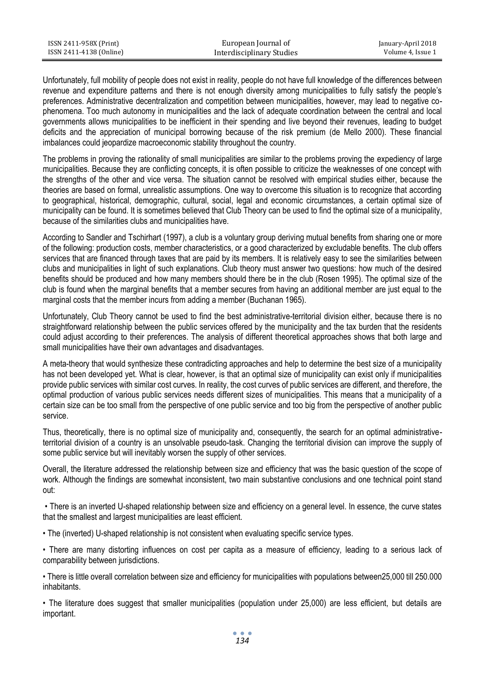| ISSN 2411-958X (Print)  | European Journal of       | January-April 2018 |
|-------------------------|---------------------------|--------------------|
| ISSN 2411-4138 (Online) | Interdisciplinary Studies | Volume 4. Issue 1  |

Unfortunately, full mobility of people does not exist in reality, people do not have full knowledge of the differences between revenue and expenditure patterns and there is not enough diversity among municipalities to fully satisfy the people's preferences. Administrative decentralization and competition between municipalities, however, may lead to negative cophenomena. Too much autonomy in municipalities and the lack of adequate coordination between the central and local governments allows municipalities to be inefficient in their spending and live beyond their revenues, leading to budget deficits and the appreciation of municipal borrowing because of the risk premium (de Mello 2000). These financial imbalances could jeopardize macroeconomic stability throughout the country.

The problems in proving the rationality of small municipalities are similar to the problems proving the expediency of large municipalities. Because they are conflicting concepts, it is often possible to criticize the weaknesses of one concept with the strengths of the other and vice versa. The situation cannot be resolved with empirical studies either, because the theories are based on formal, unrealistic assumptions. One way to overcome this situation is to recognize that according to geographical, historical, demographic, cultural, social, legal and economic circumstances, a certain optimal size of municipality can be found. It is sometimes believed that Club Theory can be used to find the optimal size of a municipality, because of the similarities clubs and municipalities have.

According to Sandler and Tschirhart (1997), a club is a voluntary group deriving mutual benefits from sharing one or more of the following: production costs, member characteristics, or a good characterized by excludable benefits. The club offers services that are financed through taxes that are paid by its members. It is relatively easy to see the similarities between clubs and municipalities in light of such explanations. Club theory must answer two questions: how much of the desired benefits should be produced and how many members should there be in the club (Rosen 1995). The optimal size of the club is found when the marginal benefits that a member secures from having an additional member are just equal to the marginal costs that the member incurs from adding a member (Buchanan 1965).

Unfortunately, Club Theory cannot be used to find the best administrative-territorial division either, because there is no straightforward relationship between the public services offered by the municipality and the tax burden that the residents could adjust according to their preferences. The analysis of different theoretical approaches shows that both large and small municipalities have their own advantages and disadvantages.

A meta-theory that would synthesize these contradicting approaches and help to determine the best size of a municipality has not been developed yet. What is clear, however, is that an optimal size of municipality can exist only if municipalities provide public services with similar cost curves. In reality, the cost curves of public services are different, and therefore, the optimal production of various public services needs different sizes of municipalities. This means that a municipality of a certain size can be too small from the perspective of one public service and too big from the perspective of another public service.

Thus, theoretically, there is no optimal size of municipality and, consequently, the search for an optimal administrativeterritorial division of a country is an unsolvable pseudo-task. Changing the territorial division can improve the supply of some public service but will inevitably worsen the supply of other services.

Overall, the literature addressed the relationship between size and efficiency that was the basic question of the scope of work. Although the findings are somewhat inconsistent, two main substantive conclusions and one technical point stand out:

• There is an inverted U-shaped relationship between size and efficiency on a general level. In essence, the curve states that the smallest and largest municipalities are least efficient.

• The (inverted) U-shaped relationship is not consistent when evaluating specific service types.

• There are many distorting influences on cost per capita as a measure of efficiency, leading to a serious lack of comparability between jurisdictions.

• There is little overall correlation between size and efficiency for municipalities with populations between25,000 till 250.000 inhabitants.

• The literature does suggest that smaller municipalities (population under 25,000) are less efficient, but details are important.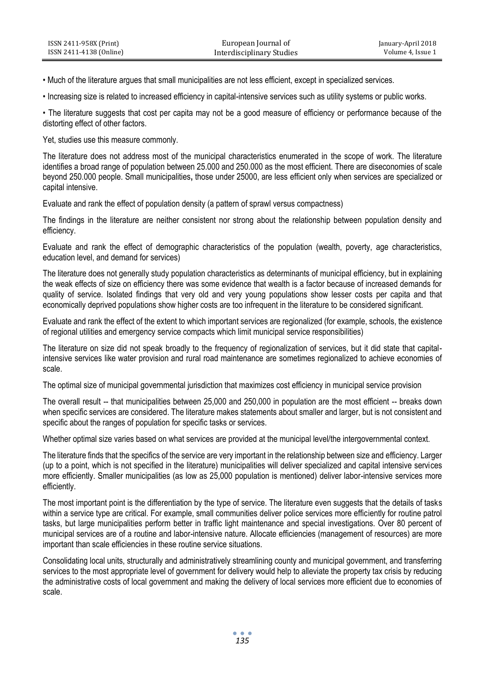| ISSN 2411-958X (Print)  | European Journal of       | January-April 2018 |
|-------------------------|---------------------------|--------------------|
| ISSN 2411-4138 (Online) | Interdisciplinary Studies | Volume 4. Issue 1  |

• Much of the literature argues that small municipalities are not less efficient, except in specialized services.

• Increasing size is related to increased efficiency in capital-intensive services such as utility systems or public works.

• The literature suggests that cost per capita may not be a good measure of efficiency or performance because of the distorting effect of other factors.

Yet, studies use this measure commonly.

The literature does not address most of the municipal characteristics enumerated in the scope of work. The literature identifies a broad range of population between 25.000 and 250.000 as the most efficient. There are diseconomies of scale beyond 250.000 people. Small municipalities**,** those under 25000, are less efficient only when services are specialized or capital intensive.

Evaluate and rank the effect of population density (a pattern of sprawl versus compactness)

The findings in the literature are neither consistent nor strong about the relationship between population density and efficiency.

Evaluate and rank the effect of demographic characteristics of the population (wealth, poverty, age characteristics, education level, and demand for services)

The literature does not generally study population characteristics as determinants of municipal efficiency, but in explaining the weak effects of size on efficiency there was some evidence that wealth is a factor because of increased demands for quality of service. Isolated findings that very old and very young populations show lesser costs per capita and that economically deprived populations show higher costs are too infrequent in the literature to be considered significant.

Evaluate and rank the effect of the extent to which important services are regionalized (for example, schools, the existence of regional utilities and emergency service compacts which limit municipal service responsibilities)

The literature on size did not speak broadly to the frequency of regionalization of services, but it did state that capitalintensive services like water provision and rural road maintenance are sometimes regionalized to achieve economies of scale.

The optimal size of municipal governmental jurisdiction that maximizes cost efficiency in municipal service provision

The overall result -- that municipalities between 25,000 and 250,000 in population are the most efficient -- breaks down when specific services are considered. The literature makes statements about smaller and larger, but is not consistent and specific about the ranges of population for specific tasks or services.

Whether optimal size varies based on what services are provided at the municipal level/the intergovernmental context.

The literature finds that the specifics of the service are very important in the relationship between size and efficiency. Larger (up to a point, which is not specified in the literature) municipalities will deliver specialized and capital intensive services more efficiently. Smaller municipalities (as low as 25,000 population is mentioned) deliver labor-intensive services more efficiently.

The most important point is the differentiation by the type of service. The literature even suggests that the details of tasks within a service type are critical. For example, small communities deliver police services more efficiently for routine patrol tasks, but large municipalities perform better in traffic light maintenance and special investigations. Over 80 percent of municipal services are of a routine and labor-intensive nature. Allocate efficiencies (management of resources) are more important than scale efficiencies in these routine service situations.

Consolidating local units, structurally and administratively streamlining county and municipal government, and transferring services to the most appropriate level of government for delivery would help to alleviate the property tax crisis by reducing the administrative costs of local government and making the delivery of local services more efficient due to economies of scale.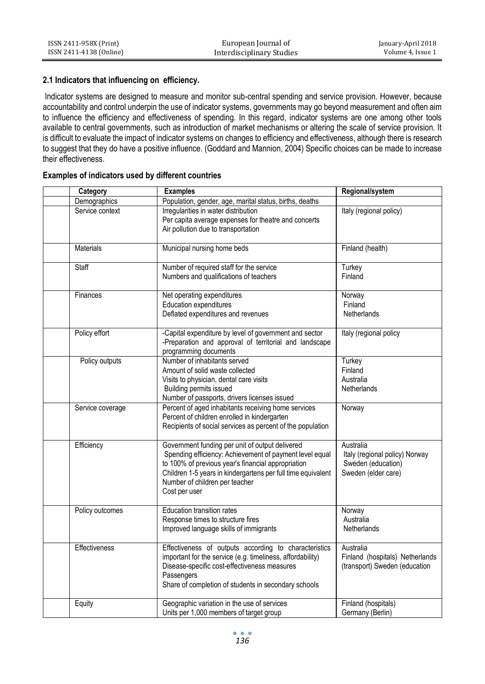| ISSN 2411-958X (Print)  | European Journal of       | January-April 2018 |
|-------------------------|---------------------------|--------------------|
| ISSN 2411-4138 (Online) | Interdisciplinary Studies | Volume 4, Issue 1  |

#### **2.1 Indicators that influencing on efficiency.**

Indicator systems are designed to measure and monitor sub-central spending and service provision. However, because accountability and control underpin the use of indicator systems, governments may go beyond measurement and often aim to influence the efficiency and effectiveness of spending. In this regard, indicator systems are one among other tools available to central governments, such as introduction of market mechanisms or altering the scale of service provision. It is difficult to evaluate the impact of indicator systems on changes to efficiency and effectiveness, although there is research to suggest that they do have a positive influence. (Goddard and Mannion, 2004) Specific choices can be made to increase their effectiveness.

| Category         | <b>Examples</b>                                                                                                                                                                                                                                                                     | Regional/system                                                                          |
|------------------|-------------------------------------------------------------------------------------------------------------------------------------------------------------------------------------------------------------------------------------------------------------------------------------|------------------------------------------------------------------------------------------|
| Demographics     | Population, gender, age, marital status, births, deaths                                                                                                                                                                                                                             |                                                                                          |
| Service context  | Irregularities in water distribution<br>Per capita average expenses for theatre and concerts<br>Air pollution due to transportation                                                                                                                                                 | Italy (regional policy)                                                                  |
| <b>Materials</b> | Municipal nursing home beds                                                                                                                                                                                                                                                         | Finland (health)                                                                         |
| Staff            | Number of required staff for the service<br>Numbers and qualifications of teachers                                                                                                                                                                                                  | Turkey<br>Finland                                                                        |
| Finances         | Net operating expenditures<br>Education expenditures<br>Deflated expenditures and revenues                                                                                                                                                                                          | Norway<br>Finland<br>Netherlands                                                         |
| Policy effort    | -Capital expenditure by level of government and sector<br>-Preparation and approval of territorial and landscape<br>programming documents                                                                                                                                           | Italy (regional policy                                                                   |
| Policy outputs   | Number of inhabitants served<br>Amount of solid waste collected<br>Visits to physician, dental care visits<br>Building permits issued<br>Number of passports, drivers licenses issued                                                                                               | Turkey<br>Finland<br>Australia<br>Netherlands                                            |
| Service coverage | Percent of aged inhabitants receiving home services<br>Percent of children enrolled in kindergarten<br>Recipients of social services as percent of the population                                                                                                                   | Norway                                                                                   |
| Efficiency       | Government funding per unit of output delivered<br>Spending efficiency: Achievement of payment level equal<br>to 100% of previous year's financial appropriation<br>Children 1-5 years in kindergartens per full time equivalent<br>Number of children per teacher<br>Cost per user | Australia<br>Italy (regional policy) Norway<br>Sweden (education)<br>Sweden (elder care) |
| Policy outcomes  | Education transition rates<br>Response times to structure fires<br>Improved language skills of immigrants                                                                                                                                                                           | Norway<br>Australia<br>Netherlands                                                       |
| Effectiveness    | Effectiveness of outputs according to characteristics<br>important for the service (e.g. timeliness, affordability)<br>Disease-specific cost-effectiveness measures<br>Passengers<br>Share of completion of students in secondary schools                                           | Australia<br>Finland (hospitals) Netherlands<br>(transport) Sweden (education            |
| Equity           | Geographic variation in the use of services<br>Units per 1,000 members of target group                                                                                                                                                                                              | Finland (hospitals)<br>Germany (Berlin)                                                  |

## **Examples of indicators used by different countries**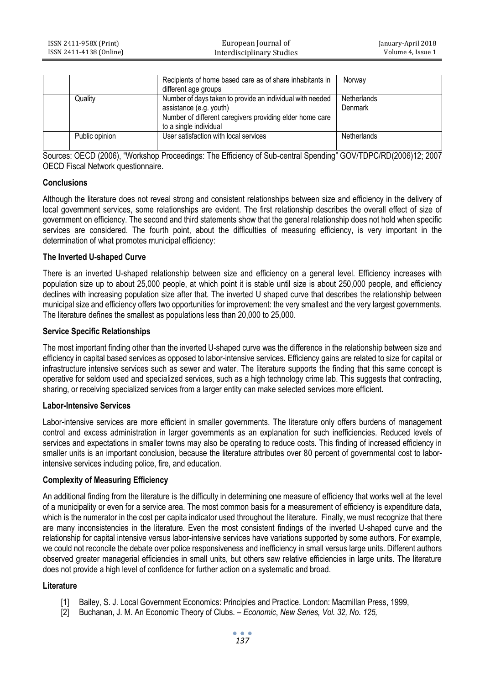|                | Recipients of home based care as of share inhabitants in<br>different age groups                                                                                           | Norway                 |
|----------------|----------------------------------------------------------------------------------------------------------------------------------------------------------------------------|------------------------|
| Quality        | Number of days taken to provide an individual with needed<br>assistance (e.g. youth)<br>Number of different caregivers providing elder home care<br>to a single individual | Netherlands<br>Denmark |
| Public opinion | User satisfaction with local services                                                                                                                                      | <b>Netherlands</b>     |

Sources: OECD (2006), "Workshop Proceedings: The Efficiency of Sub-central Spending" GOV/TDPC/RD(2006)12; 2007 OECD Fiscal Network questionnaire.

## **Conclusions**

Although the literature does not reveal strong and consistent relationships between size and efficiency in the delivery of local government services, some relationships are evident. The first relationship describes the overall effect of size of government on efficiency. The second and third statements show that the general relationship does not hold when specific services are considered. The fourth point, about the difficulties of measuring efficiency, is very important in the determination of what promotes municipal efficiency:

## **The Inverted U-shaped Curve**

There is an inverted U-shaped relationship between size and efficiency on a general level. Efficiency increases with population size up to about 25,000 people, at which point it is stable until size is about 250,000 people, and efficiency declines with increasing population size after that. The inverted U shaped curve that describes the relationship between municipal size and efficiency offers two opportunities for improvement: the very smallest and the very largest governments. The literature defines the smallest as populations less than 20,000 to 25,000.

## **Service Specific Relationships**

The most important finding other than the inverted U-shaped curve was the difference in the relationship between size and efficiency in capital based services as opposed to labor-intensive services. Efficiency gains are related to size for capital or infrastructure intensive services such as sewer and water. The literature supports the finding that this same concept is operative for seldom used and specialized services, such as a high technology crime lab. This suggests that contracting, sharing, or receiving specialized services from a larger entity can make selected services more efficient.

## **Labor-Intensive Services**

Labor-intensive services are more efficient in smaller governments. The literature only offers burdens of management control and excess administration in larger governments as an explanation for such inefficiencies. Reduced levels of services and expectations in smaller towns may also be operating to reduce costs. This finding of increased efficiency in smaller units is an important conclusion, because the literature attributes over 80 percent of governmental cost to laborintensive services including police, fire, and education.

## **Complexity of Measuring Efficiency**

An additional finding from the literature is the difficulty in determining one measure of efficiency that works well at the level of a municipality or even for a service area. The most common basis for a measurement of efficiency is expenditure data, which is the numerator in the cost per capita indicator used throughout the literature. Finally, we must recognize that there are many inconsistencies in the literature. Even the most consistent findings of the inverted U-shaped curve and the relationship for capital intensive versus labor-intensive services have variations supported by some authors. For example, we could not reconcile the debate over police responsiveness and inefficiency in small versus large units. Different authors observed greater managerial efficiencies in small units, but others saw relative efficiencies in large units. The literature does not provide a high level of confidence for further action on a systematic and broad.

## **Literature**

- [1] Bailey, S. J. Local Government Economics: Principles and Practice. London: Macmillan Press, 1999,
- [2] Buchanan, J. M. An Economic Theory of Clubs. *Economic*, *New Series, Vol. 32, No. 125,*